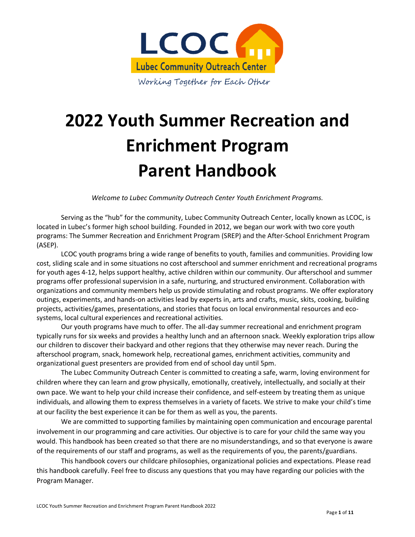

# **2022 Youth Summer Recreation and Enrichment Program Parent Handbook**

*Welcome to Lubec Community Outreach Center Youth Enrichment Programs.*

Serving as the "hub" for the community, Lubec Community Outreach Center, locally known as LCOC, is located in Lubec's former high school building. Founded in 2012, we began our work with two core youth programs: The Summer Recreation and Enrichment Program (SREP) and the After-School Enrichment Program (ASEP).

LCOC youth programs bring a wide range of benefits to youth, families and communities. Providing low cost, sliding scale and in some situations no cost afterschool and summer enrichment and recreational programs for youth ages 4-12, helps support healthy, active children within our community. Our afterschool and summer programs offer professional supervision in a safe, nurturing, and structured environment. Collaboration with organizations and community members help us provide stimulating and robust programs. We offer exploratory outings, experiments, and hands-on activities lead by experts in, arts and crafts, music, skits, cooking, building projects, activities/games, presentations, and stories that focus on local environmental resources and ecosystems, local cultural experiences and recreational activities.

Our youth programs have much to offer. The all-day summer recreational and enrichment program typically runs for six weeks and provides a healthy lunch and an afternoon snack. Weekly exploration trips allow our children to discover their backyard and other regions that they otherwise may never reach. During the afterschool program, snack, homework help, recreational games, enrichment activities, community and organizational guest presenters are provided from end of school day until 5pm.

The Lubec Community Outreach Center is committed to creating a safe, warm, loving environment for children where they can learn and grow physically, emotionally, creatively, intellectually, and socially at their own pace. We want to help your child increase their confidence, and self-esteem by treating them as unique individuals, and allowing them to express themselves in a variety of facets. We strive to make your child's time at our facility the best experience it can be for them as well as you, the parents.

We are committed to supporting families by maintaining open communication and encourage parental involvement in our programming and care activities. Our objective is to care for your child the same way you would. This handbook has been created so that there are no misunderstandings, and so that everyone is aware of the requirements of our staff and programs, as well as the requirements of you, the parents/guardians.

This handbook covers our childcare philosophies, organizational policies and expectations. Please read this handbook carefully. Feel free to discuss any questions that you may have regarding our policies with the Program Manager.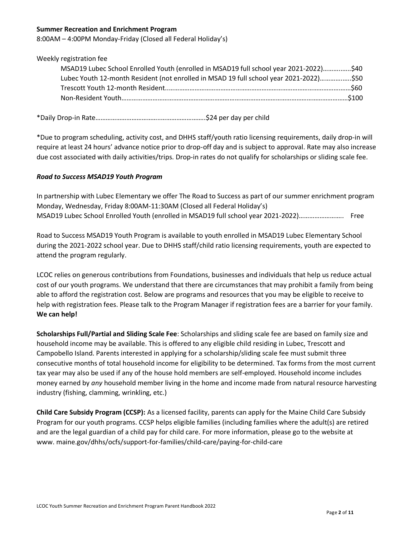#### **Summer Recreation and Enrichment Program**

8:00AM – 4:00PM Monday-Friday (Closed all Federal Holiday's)

#### Weekly registration fee

| MSAD19 Lubec School Enrolled Youth (enrolled in MSAD19 full school year 2021-2022)\$40 |  |
|----------------------------------------------------------------------------------------|--|
| Lubec Youth 12-month Resident (not enrolled in MSAD 19 full school year 2021-2022)\$50 |  |
|                                                                                        |  |
|                                                                                        |  |

\*Daily Drop-in Rate………………………………..……………………..\$24 per day per child

\*Due to program scheduling, activity cost, and DHHS staff/youth ratio licensing requirements, daily drop-in will require at least 24 hours' advance notice prior to drop-off day and is subject to approval. Rate may also increase due cost associated with daily activities/trips. Drop-in rates do not qualify for scholarships or sliding scale fee.

#### *Road to Success MSAD19 Youth Program*

In partnership with Lubec Elementary we offer The Road to Success as part of our summer enrichment program Monday, Wednesday, Friday 8:00AM-11:30AM (Closed all Federal Holiday's) MSAD19 Lubec School Enrolled Youth (enrolled in MSAD19 full school year 2021-2022)…………………….. Free

Road to Success MSAD19 Youth Program is available to youth enrolled in MSAD19 Lubec Elementary School during the 2021-2022 school year. Due to DHHS staff/child ratio licensing requirements, youth are expected to attend the program regularly.

LCOC relies on generous contributions from Foundations, businesses and individuals that help us reduce actual cost of our youth programs. We understand that there are circumstances that may prohibit a family from being able to afford the registration cost. Below are programs and resources that you may be eligible to receive to help with registration fees. Please talk to the Program Manager if registration fees are a barrier for your family. **We can help!**

**Scholarships Full/Partial and Sliding Scale Fee**: Scholarships and sliding scale fee are based on family size and household income may be available. This is offered to any eligible child residing in Lubec, Trescott and Campobello Island. Parents interested in applying for a scholarship/sliding scale fee must submit three consecutive months of total household income for eligibility to be determined. Tax forms from the most current tax year may also be used if any of the house hold members are self-employed. Household income includes money earned by *any* household member living in the home and income made from natural resource harvesting industry (fishing, clamming, wrinkling, etc.)

**Child Care Subsidy Program (CCSP):** As a licensed facility, parents can apply for the Maine Child Care Subsidy Program for our youth programs. CCSP helps eligible families (including families where the adult(s) are retired and are the legal guardian of a child pay for child care. For more information, please go to the website at www. maine.gov/dhhs/ocfs/support-for-families/child-care/paying-for-child-care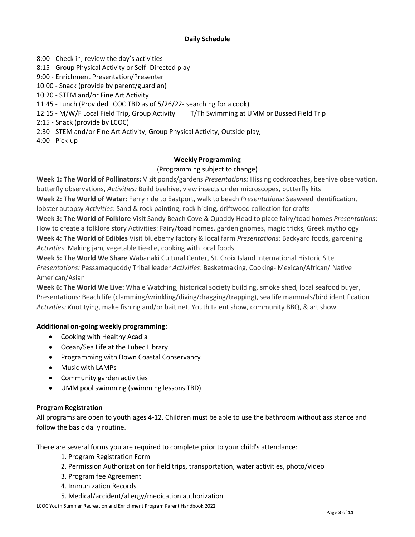# **Daily Schedule**

8:00 - Check in, review the day's activities 8:15 - Group Physical Activity or Self- Directed play 9:00 - Enrichment Presentation/Presenter 10:00 - Snack (provide by parent/guardian) 10:20 - STEM and/or Fine Art Activity 11:45 - Lunch (Provided LCOC TBD as of 5/26/22- searching for a cook) 12:15 - M/W/F Local Field Trip, Group Activity T/Th Swimming at UMM or Bussed Field Trip 2:15 - Snack (provide by LCOC) 2:30 - STEM and/or Fine Art Activity, Group Physical Activity, Outside play, 4:00 - Pick-up

# **Weekly Programming**

# (Programming subject to change)

**Week 1: The World of Pollinators:** Visit ponds/gardens *Presentations:* Hissing cockroaches, beehive observation, butterfly observations, *Activities:* Build beehive, view insects under microscopes, butterfly kits

**Week 2: The World of Water:** Ferry ride to Eastport, walk to beach *Presentations:* Seaweed identification,

lobster autopsy *Activities*: Sand & rock painting, rock hiding, driftwood collection for crafts

**Week 3: The World of Folklore** Visit Sandy Beach Cove & Quoddy Head to place fairy/toad homes *Presentations*: How to create a folklore story Activities: Fairy/toad homes, garden gnomes, magic tricks, Greek mythology **Week 4: The World of Edibles** Visit blueberry factory & local farm *Presentations:* Backyard foods, gardening *Activities*: Making jam, vegetable tie-die, cooking with local foods

**Week 5: The World We Share** Wabanaki Cultural Center, St. Croix Island International Historic Site *Presentations:* Passamaquoddy Tribal leader *Activities*: Basketmaking, Cooking- Mexican/African/ Native American/Asian

**Week 6: The World We Live:** Whale Watching, historical society building, smoke shed, local seafood buyer, Presentations*:* Beach life (clamming/wrinkling/diving/dragging/trapping), sea life mammals/bird identification *Activities: K*not tying, make fishing and/or bait net, Youth talent show, community BBQ, & art show

# **Additional on-going weekly programming:**

- Cooking with Healthy Acadia
- Ocean/Sea Life at the Lubec Library
- Programming with Down Coastal Conservancy
- Music with LAMPs
- Community garden activities
- UMM pool swimming (swimming lessons TBD)

# **Program Registration**

All programs are open to youth ages 4-12. Children must be able to use the bathroom without assistance and follow the basic daily routine.

There are several forms you are required to complete prior to your child's attendance:

- 1. Program Registration Form
- 2. Permission Authorization for field trips, transportation, water activities, photo/video
- 3. Program fee Agreement
- 4. Immunization Records
- 5. Medical/accident/allergy/medication authorization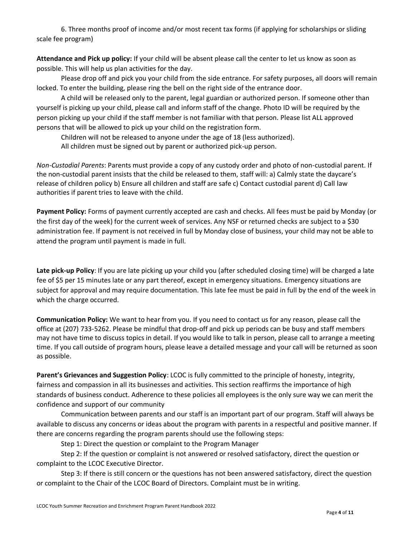6. Three months proof of income and/or most recent tax forms (if applying for scholarships or sliding scale fee program)

**Attendance and Pick up policy:** If your child will be absent please call the center to let us know as soon as possible. This will help us plan activities for the day.

Please drop off and pick you your child from the side entrance. For safety purposes, all doors will remain locked. To enter the building, please ring the bell on the right side of the entrance door.

A child will be released only to the parent, legal guardian or authorized person. If someone other than yourself is picking up your child, please call and inform staff of the change. Photo ID will be required by the person picking up your child if the staff member is not familiar with that person. Please list ALL approved persons that will be allowed to pick up your child on the registration form.

Children will not be released to anyone under the age of 18 (less authorized).

All children must be signed out by parent or authorized pick-up person.

*Non-Custodial Parents*: Parents must provide a copy of any custody order and photo of non-custodial parent. If the non-custodial parent insists that the child be released to them, staff will: a) Calmly state the daycare's release of children policy b) Ensure all children and staff are safe c) Contact custodial parent d) Call law authorities if parent tries to leave with the child.

**Payment Policy:** Forms of payment currently accepted are cash and checks. All fees must be paid by Monday (or the first day of the week) for the current week of services. Any NSF or returned checks are subject to a \$30 administration fee. If payment is not received in full by Monday close of business, your child may not be able to attend the program until payment is made in full.

**Late pick-up Policy**: If you are late picking up your child you (after scheduled closing time) will be charged a late fee of \$5 per 15 minutes late or any part thereof, except in emergency situations. Emergency situations are subject for approval and may require documentation. This late fee must be paid in full by the end of the week in which the charge occurred.

**Communication Policy:** We want to hear from you. If you need to contact us for any reason, please call the office at (207) 733-5262. Please be mindful that drop-off and pick up periods can be busy and staff members may not have time to discuss topics in detail. If you would like to talk in person, please call to arrange a meeting time. If you call outside of program hours, please leave a detailed message and your call will be returned as soon as possible.

**Parent's Grievances and Suggestion Policy**: LCOC is fully committed to the principle of honesty, integrity, fairness and compassion in all its businesses and activities. This section reaffirms the importance of high standards of business conduct. Adherence to these policies all employees is the only sure way we can merit the confidence and support of our community

Communication between parents and our staff is an important part of our program. Staff will always be available to discuss any concerns or ideas about the program with parents in a respectful and positive manner. If there are concerns regarding the program parents should use the following steps:

Step 1: Direct the question or complaint to the Program Manager

Step 2: If the question or complaint is not answered or resolved satisfactory, direct the question or complaint to the LCOC Executive Director.

Step 3: If there is still concern or the questions has not been answered satisfactory, direct the question or complaint to the Chair of the LCOC Board of Directors. Complaint must be in writing.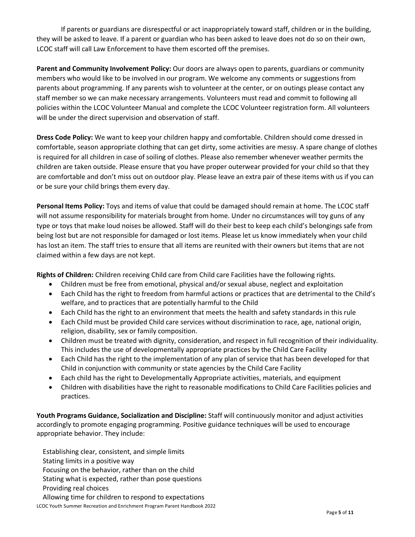If parents or guardians are disrespectful or act inappropriately toward staff, children or in the building, they will be asked to leave. If a parent or guardian who has been asked to leave does not do so on their own, LCOC staff will call Law Enforcement to have them escorted off the premises.

**Parent and Community Involvement Policy:** Our doors are always open to parents, guardians or community members who would like to be involved in our program. We welcome any comments or suggestions from parents about programming. If any parents wish to volunteer at the center, or on outings please contact any staff member so we can make necessary arrangements. Volunteers must read and commit to following all policies within the LCOC Volunteer Manual and complete the LCOC Volunteer registration form. All volunteers will be under the direct supervision and observation of staff.

**Dress Code Policy:** We want to keep your children happy and comfortable. Children should come dressed in comfortable, season appropriate clothing that can get dirty, some activities are messy. A spare change of clothes is required for all children in case of soiling of clothes. Please also remember whenever weather permits the children are taken outside. Please ensure that you have proper outerwear provided for your child so that they are comfortable and don't miss out on outdoor play. Please leave an extra pair of these items with us if you can or be sure your child brings them every day.

**Personal Items Policy:** Toys and items of value that could be damaged should remain at home. The LCOC staff will not assume responsibility for materials brought from home. Under no circumstances will toy guns of any type or toys that make loud noises be allowed. Staff will do their best to keep each child's belongings safe from being lost but are not responsible for damaged or lost items. Please let us know immediately when your child has lost an item. The staff tries to ensure that all items are reunited with their owners but items that are not claimed within a few days are not kept.

**Rights of Children:** Children receiving Child care from Child care Facilities have the following rights.

- Children must be free from emotional, physical and/or sexual abuse, neglect and exploitation
- Each Child has the right to freedom from harmful actions or practices that are detrimental to the Child's welfare, and to practices that are potentially harmful to the Child
- Each Child has the right to an environment that meets the health and safety standards in this rule
- Each Child must be provided Child care services without discrimination to race, age, national origin, religion, disability, sex or family composition.
- Children must be treated with dignity, consideration, and respect in full recognition of their individuality. This includes the use of developmentally appropriate practices by the Child Care Facility
- Each Child has the right to the implementation of any plan of service that has been developed for that Child in conjunction with community or state agencies by the Child Care Facility
- Each child has the right to Developmentally Appropriate activities, materials, and equipment
- Children with disabilities have the right to reasonable modifications to Child Care Facilities policies and practices.

**Youth Programs Guidance, Socialization and Discipline:** Staff will continuously monitor and adjust activities accordingly to promote engaging programming. Positive guidance techniques will be used to encourage appropriate behavior. They include:

LCOC Youth Summer Recreation and Enrichment Program Parent Handbook 2022 Establishing clear, consistent, and simple limits Stating limits in a positive way Focusing on the behavior, rather than on the child Stating what is expected, rather than pose questions Providing real choices Allowing time for children to respond to expectations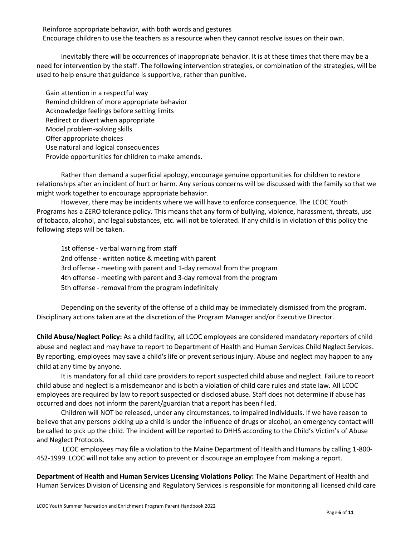Reinforce appropriate behavior, with both words and gestures

Encourage children to use the teachers as a resource when they cannot resolve issues on their own.

Inevitably there will be occurrences of inappropriate behavior. It is at these times that there may be a need for intervention by the staff. The following intervention strategies, or combination of the strategies, will be used to help ensure that guidance is supportive, rather than punitive.

Gain attention in a respectful way Remind children of more appropriate behavior Acknowledge feelings before setting limits Redirect or divert when appropriate Model problem-solving skills Offer appropriate choices Use natural and logical consequences Provide opportunities for children to make amends.

Rather than demand a superficial apology, encourage genuine opportunities for children to restore relationships after an incident of hurt or harm. Any serious concerns will be discussed with the family so that we might work together to encourage appropriate behavior.

However, there may be incidents where we will have to enforce consequence. The LCOC Youth Programs has a ZERO tolerance policy. This means that any form of bullying, violence, harassment, threats, use of tobacco, alcohol, and legal substances, etc. will not be tolerated. If any child is in violation of this policy the following steps will be taken.

1st offense - verbal warning from staff 2nd offense - written notice & meeting with parent 3rd offense - meeting with parent and 1-day removal from the program 4th offense - meeting with parent and 3-day removal from the program 5th offense - removal from the program indefinitely

Depending on the severity of the offense of a child may be immediately dismissed from the program. Disciplinary actions taken are at the discretion of the Program Manager and/or Executive Director.

**Child Abuse/Neglect Policy:** As a child facility, all LCOC employees are considered mandatory reporters of child abuse and neglect and may have to report to Department of Health and Human Services Child Neglect Services. By reporting, employees may save a child's life or prevent serious injury. Abuse and neglect may happen to any child at any time by anyone.

It is mandatory for all child care providers to report suspected child abuse and neglect. Failure to report child abuse and neglect is a misdemeanor and is both a violation of child care rules and state law. All LCOC employees are required by law to report suspected or disclosed abuse. Staff does not determine if abuse has occurred and does not inform the parent/guardian that a report has been filed.

Children will NOT be released, under any circumstances, to impaired individuals. If we have reason to believe that any persons picking up a child is under the influence of drugs or alcohol, an emergency contact will be called to pick up the child. The incident will be reported to DHHS according to the Child's Victim's of Abuse and Neglect Protocols.

LCOC employees may file a violation to the Maine Department of Health and Humans by calling 1-800- 452-1999. LCOC will not take any action to prevent or discourage an employee from making a report.

**Department of Health and Human Services Licensing Violations Policy:** The Maine Department of Health and Human Services Division of Licensing and Regulatory Services is responsible for monitoring all licensed child care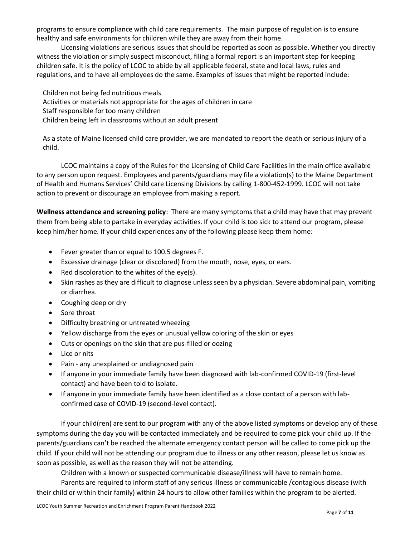programs to ensure compliance with child care requirements. The main purpose of regulation is to ensure healthy and safe environments for children while they are away from their home.

Licensing violations are serious issues that should be reported as soon as possible. Whether you directly witness the violation or simply suspect misconduct, filing a formal report is an important step for keeping children safe. It is the policy of LCOC to abide by all applicable federal, state and local laws, rules and regulations, and to have all employees do the same. Examples of issues that might be reported include:

Children not being fed nutritious meals Activities or materials not appropriate for the ages of children in care Staff responsible for too many children Children being left in classrooms without an adult present

As a state of Maine licensed child care provider, we are mandated to report the death or serious injury of a child.

LCOC maintains a copy of the Rules for the Licensing of Child Care Facilities in the main office available to any person upon request. Employees and parents/guardians may file a violation(s) to the Maine Department of Health and Humans Services' Child care Licensing Divisions by calling 1-800-452-1999. LCOC will not take action to prevent or discourage an employee from making a report.

**Wellness attendance and screening policy**: There are many symptoms that a child may have that may prevent them from being able to partake in everyday activities. If your child is too sick to attend our program, please keep him/her home. If your child experiences any of the following please keep them home:

- Fever greater than or equal to 100.5 degrees F.
- Excessive drainage (clear or discolored) from the mouth, nose, eyes, or ears.
- Red discoloration to the whites of the eye(s).
- Skin rashes as they are difficult to diagnose unless seen by a physician. Severe abdominal pain, vomiting or diarrhea.
- Coughing deep or dry
- Sore throat
- Difficulty breathing or untreated wheezing
- Yellow discharge from the eyes or unusual yellow coloring of the skin or eyes
- Cuts or openings on the skin that are pus-filled or oozing
- Lice or nits
- Pain any unexplained or undiagnosed pain
- If anyone in your immediate family have been diagnosed with lab-confirmed COVID-19 (first-level contact) and have been told to isolate.
- If anyone in your immediate family have been identified as a close contact of a person with labconfirmed case of COVID-19 (second-level contact).

If your child(ren) are sent to our program with any of the above listed symptoms or develop any of these symptoms during the day you will be contacted immediately and be required to come pick your child up. If the parents/guardians can't be reached the alternate emergency contact person will be called to come pick up the child. If your child will not be attending our program due to illness or any other reason, please let us know as soon as possible, as well as the reason they will not be attending.

Children with a known or suspected communicable disease/illness will have to remain home.

Parents are required to inform staff of any serious illness or communicable /contagious disease (with their child or within their family) within 24 hours to allow other families within the program to be alerted.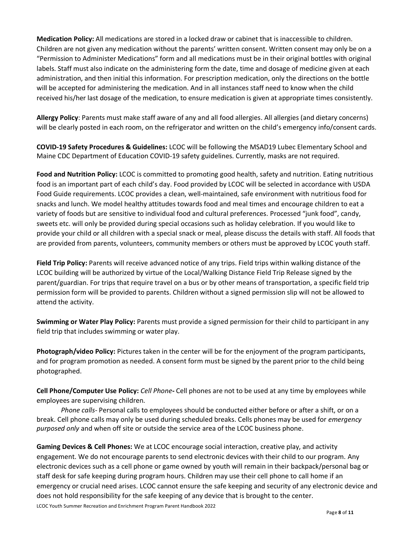**Medication Policy:** All medications are stored in a locked draw or cabinet that is inaccessible to children. Children are not given any medication without the parents' written consent. Written consent may only be on a "Permission to Administer Medications" form and all medications must be in their original bottles with original labels. Staff must also indicate on the administering form the date, time and dosage of medicine given at each administration, and then initial this information. For prescription medication, only the directions on the bottle will be accepted for administering the medication. And in all instances staff need to know when the child received his/her last dosage of the medication, to ensure medication is given at appropriate times consistently.

**Allergy Policy**: Parents must make staff aware of any and all food allergies. All allergies (and dietary concerns) will be clearly posted in each room, on the refrigerator and written on the child's emergency info/consent cards.

**COVID-19 Safety Procedures & Guidelines:** LCOC will be following the MSAD19 Lubec Elementary School and Maine CDC Department of Education COVID-19 safety guidelines. Currently, masks are not required.

**Food and Nutrition Policy:** LCOC is committed to promoting good health, safety and nutrition. Eating nutritious food is an important part of each child's day. Food provided by LCOC will be selected in accordance with USDA Food Guide requirements. LCOC provides a clean, well-maintained, safe environment with nutritious food for snacks and lunch. We model healthy attitudes towards food and meal times and encourage children to eat a variety of foods but are sensitive to individual food and cultural preferences. Processed "junk food", candy, sweets etc. will only be provided during special occasions such as holiday celebration. If you would like to provide your child or all children with a special snack or meal, please discuss the details with staff. All foods that are provided from parents, volunteers, community members or others must be approved by LCOC youth staff.

**Field Trip Policy:** Parents will receive advanced notice of any trips. Field trips within walking distance of the LCOC building will be authorized by virtue of the Local/Walking Distance Field Trip Release signed by the parent/guardian. For trips that require travel on a bus or by other means of transportation, a specific field trip permission form will be provided to parents. Children without a signed permission slip will not be allowed to attend the activity.

**Swimming or Water Play Policy:** Parents must provide a signed permission for their child to participant in any field trip that includes swimming or water play.

**Photograph/video Policy:** Pictures taken in the center will be for the enjoyment of the program participants, and for program promotion as needed. A consent form must be signed by the parent prior to the child being photographed.

**Cell Phone/Computer Use Policy:** *Cell Phone***-** Cell phones are not to be used at any time by employees while employees are supervising children.

*Phone calls-* Personal calls to employees should be conducted either before or after a shift, or on a break. Cell phone calls may only be used during scheduled breaks. Cells phones may be used for *emergency purposed only* and when off site or outside the service area of the LCOC business phone.

**Gaming Devices & Cell Phones:** We at LCOC encourage social interaction, creative play, and activity engagement. We do not encourage parents to send electronic devices with their child to our program. Any electronic devices such as a cell phone or game owned by youth will remain in their backpack/personal bag or staff desk for safe keeping during program hours. Children may use their cell phone to call home if an emergency or crucial need arises. LCOC cannot ensure the safe keeping and security of any electronic device and does not hold responsibility for the safe keeping of any device that is brought to the center.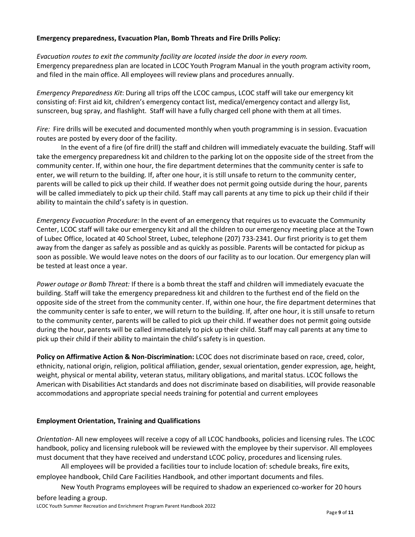#### **Emergency preparedness, Evacuation Plan, Bomb Threats and Fire Drills Policy:**

*Evacuation routes to exit the community facility are located inside the door in every room.* Emergency preparedness plan are located in LCOC Youth Program Manual in the youth program activity room, and filed in the main office. All employees will review plans and procedures annually.

*Emergency Preparedness Kit*: During all trips off the LCOC campus, LCOC staff will take our emergency kit consisting of: First aid kit, children's emergency contact list, medical/emergency contact and allergy list, sunscreen, bug spray, and flashlight. Staff will have a fully charged cell phone with them at all times.

*Fire:* Fire drills will be executed and documented monthly when youth programming is in session. Evacuation routes are posted by every door of the facility.

In the event of a fire (of fire drill) the staff and children will immediately evacuate the building. Staff will take the emergency preparedness kit and children to the parking lot on the opposite side of the street from the community center. If, within one hour, the fire department determines that the community center is safe to enter, we will return to the building. If, after one hour, it is still unsafe to return to the community center, parents will be called to pick up their child. If weather does not permit going outside during the hour, parents will be called immediately to pick up their child. Staff may call parents at any time to pick up their child if their ability to maintain the child's safety is in question.

*Emergency Evacuation Procedure:* In the event of an emergency that requires us to evacuate the Community Center, LCOC staff will take our emergency kit and all the children to our emergency meeting place at the Town of Lubec Office, located at 40 School Street, Lubec, telephone (207) 733-2341. Our first priority is to get them away from the danger as safely as possible and as quickly as possible. Parents will be contacted for pickup as soon as possible. We would leave notes on the doors of our facility as to our location. Our emergency plan will be tested at least once a year.

*Power outage or Bomb Threat:* If there is a bomb threat the staff and children will immediately evacuate the building. Staff will take the emergency preparedness kit and children to the furthest end of the field on the opposite side of the street from the community center. If, within one hour, the fire department determines that the community center is safe to enter, we will return to the building. If, after one hour, it is still unsafe to return to the community center, parents will be called to pick up their child. If weather does not permit going outside during the hour, parents will be called immediately to pick up their child. Staff may call parents at any time to pick up their child if their ability to maintain the child's safety is in question.

**Policy on Affirmative Action & Non-Discrimination:** LCOC does not discriminate based on race, creed, color, ethnicity, national origin, religion, political affiliation, gender, sexual orientation, gender expression, age, height, weight, physical or mental ability, veteran status, military obligations, and marital status. LCOC follows the American with Disabilities Act standards and does not discriminate based on disabilities, will provide reasonable accommodations and appropriate special needs training for potential and current employees

# **Employment Orientation, Training and Qualifications**

*Orientation-* All new employees will receive a copy of all LCOC handbooks, policies and licensing rules. The LCOC handbook, policy and licensing rulebook will be reviewed with the employee by their supervisor. All employees must document that they have received and understand LCOC policy, procedures and licensing rules.

All employees will be provided a facilities tour to include location of: schedule breaks, fire exits, employee handbook, Child Care Facilities Handbook, and other important documents and files.

New Youth Programs employees will be required to shadow an experienced co-worker for 20 hours

before leading a group.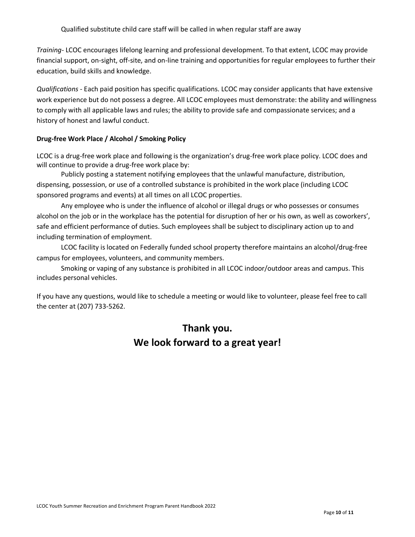*Training-* LCOC encourages lifelong learning and professional development. To that extent, LCOC may provide financial support, on-sight, off-site, and on-line training and opportunities for regular employees to further their education, build skills and knowledge.

*Qualifications -* Each paid position has specific qualifications. LCOC may consider applicants that have extensive work experience but do not possess a degree. All LCOC employees must demonstrate: the ability and willingness to comply with all applicable laws and rules; the ability to provide safe and compassionate services; and a history of honest and lawful conduct.

# **Drug-free Work Place / Alcohol / Smoking Policy**

LCOC is a drug-free work place and following is the organization's drug-free work place policy. LCOC does and will continue to provide a drug-free work place by:

Publicly posting a statement notifying employees that the unlawful manufacture, distribution, dispensing, possession, or use of a controlled substance is prohibited in the work place (including LCOC sponsored programs and events) at all times on all LCOC properties.

Any employee who is under the influence of alcohol or illegal drugs or who possesses or consumes alcohol on the job or in the workplace has the potential for disruption of her or his own, as well as coworkers', safe and efficient performance of duties. Such employees shall be subject to disciplinary action up to and including termination of employment.

LCOC facility is located on Federally funded school property therefore maintains an alcohol/drug-free campus for employees, volunteers, and community members.

 Smoking or vaping of any substance is prohibited in all LCOC indoor/outdoor areas and campus. This includes personal vehicles.

If you have any questions, would like to schedule a meeting or would like to volunteer, please feel free to call the center at (207) 733-5262.

# **Thank you. We look forward to a great year!**